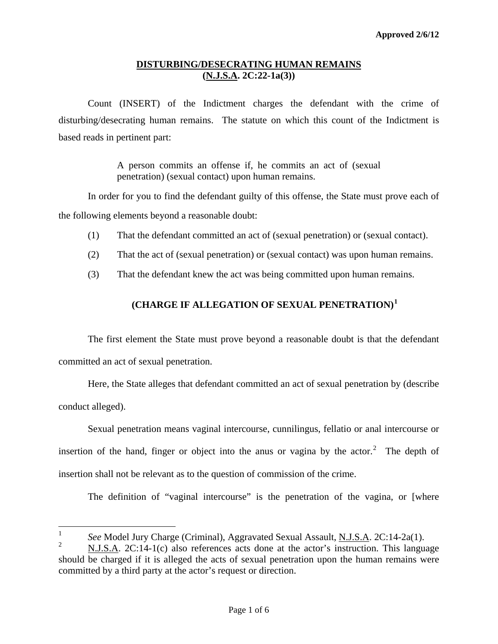Count (INSERT) of the Indictment charges the defendant with the crime of disturbing/desecrating human remains. The statute on which this count of the Indictment is based reads in pertinent part:

> A person commits an offense if, he commits an act of (sexual penetration) (sexual contact) upon human remains.

In order for you to find the defendant guilty of this offense, the State must prove each of the following elements beyond a reasonable doubt:

- (1) That the defendant committed an act of (sexual penetration) or (sexual contact).
- (2) That the act of (sexual penetration) or (sexual contact) was upon human remains.
- (3) That the defendant knew the act was being committed upon human remains.

# **(CHARGE IF ALLEGATION OF SEXUAL PENETRATION)[1](#page-0-0)**

The first element the State must prove beyond a reasonable doubt is that the defendant committed an act of sexual penetration.

Here, the State alleges that defendant committed an act of sexual penetration by (describe conduct alleged).

<span id="page-0-2"></span>Sexual penetration means vaginal intercourse, cunnilingus, fellatio or anal intercourse or insertion of the hand, finger or object into the anus or vagina by the actor.<sup>[2](#page-0-1)</sup> The depth of insertion shall not be relevant as to the question of commission of the crime.

The definition of "vaginal intercourse" is the penetration of the vagina, or [where

 $\frac{1}{1}$ *See* Model Jury Charge (Criminal), Aggravated Sexual Assault, N.J.S.A. 2C:14-2a(1).

<span id="page-0-1"></span><span id="page-0-0"></span> $\mathcal{L}$  N.J.S.A. 2C:14-1(c) also references acts done at the actor's instruction. This language should be charged if it is alleged the acts of sexual penetration upon the human remains were committed by a third party at the actor's request or direction.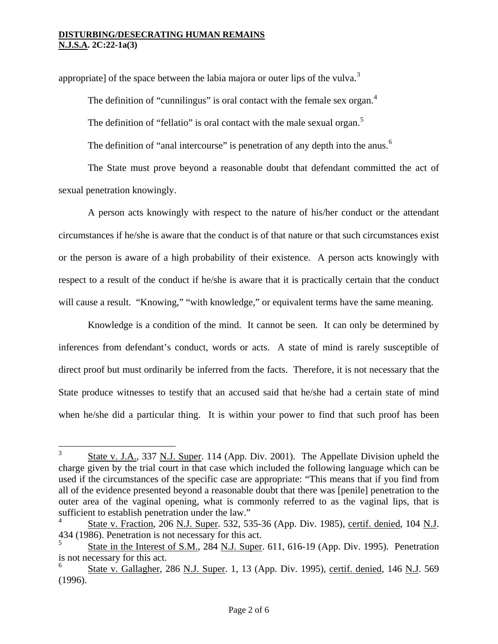appropriate] of the space between the labia majora or outer lips of the vulva.<sup>[3](#page-0-2)</sup>

The definition of "cunnilingus" is oral contact with the female sex organ. $4$ 

The definition of "fellatio" is oral contact with the male sexual organ. $5$ 

The definition of "anal intercourse" is penetration of any depth into the anus.<sup>[6](#page-1-2)</sup>

The State must prove beyond a reasonable doubt that defendant committed the act of sexual penetration knowingly.

A person acts knowingly with respect to the nature of his/her conduct or the attendant circumstances if he/she is aware that the conduct is of that nature or that such circumstances exist or the person is aware of a high probability of their existence. A person acts knowingly with respect to a result of the conduct if he/she is aware that it is practically certain that the conduct will cause a result. "Knowing," "with knowledge," or equivalent terms have the same meaning.

Knowledge is a condition of the mind. It cannot be seen. It can only be determined by inferences from defendant's conduct, words or acts. A state of mind is rarely susceptible of direct proof but must ordinarily be inferred from the facts. Therefore, it is not necessary that the State produce witnesses to testify that an accused said that he/she had a certain state of mind when he/she did a particular thing. It is within your power to find that such proof has been

 3 State v. J.A., 337 N.J. Super. 114 (App. Div. 2001). The Appellate Division upheld the charge given by the trial court in that case which included the following language which can be used if the circumstances of the specific case are appropriate: "This means that if you find from all of the evidence presented beyond a reasonable doubt that there was [penile] penetration to the outer area of the vaginal opening, what is commonly referred to as the vaginal lips, that is sufficient to establish penetration under the law."

<span id="page-1-0"></span><sup>4</sup> State v. Fraction, 206 N.J. Super. 532, 535-36 (App. Div. 1985), certif. denied, 104 N.J. 434 (1986). Penetration is not necessary for this act.

<span id="page-1-1"></span><sup>5</sup> State in the Interest of S.M., 284 N.J. Super. 611, 616-19 (App. Div. 1995). Penetration is not necessary for this act.

<span id="page-1-3"></span><span id="page-1-2"></span><sup>6</sup> State v. Gallagher, 286 N.J. Super. 1, 13 (App. Div. 1995), certif. denied, 146 N.J. 569 (1996).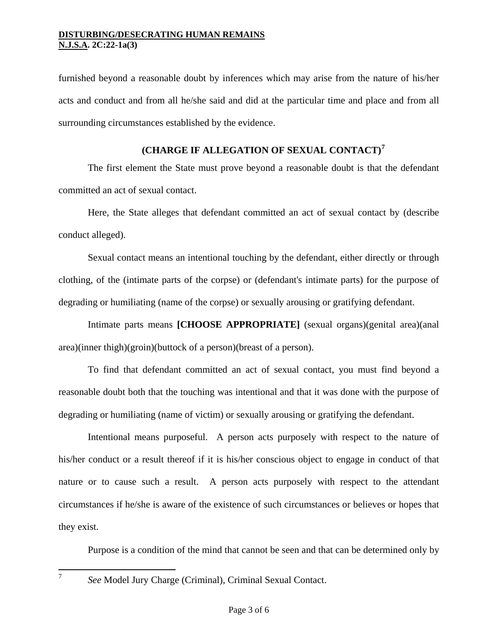furnished beyond a reasonable doubt by inferences which may arise from the nature of his/her acts and conduct and from all he/she said and did at the particular time and place and from all surrounding circumstances established by the evidence.

# **(CHARGE IF ALLEGATION OF SEXUAL CONTACT)[7](#page-1-3)**

The first element the State must prove beyond a reasonable doubt is that the defendant committed an act of sexual contact.

Here, the State alleges that defendant committed an act of sexual contact by (describe conduct alleged).

Sexual contact means an intentional touching by the defendant, either directly or through clothing, of the (intimate parts of the corpse) or (defendant's intimate parts) for the purpose of degrading or humiliating (name of the corpse) or sexually arousing or gratifying defendant.

Intimate parts means **[CHOOSE APPROPRIATE]** (sexual organs)(genital area)(anal area)(inner thigh)(groin)(buttock of a person)(breast of a person).

To find that defendant committed an act of sexual contact, you must find beyond a reasonable doubt both that the touching was intentional and that it was done with the purpose of degrading or humiliating (name of victim) or sexually arousing or gratifying the defendant.

Intentional means purposeful. A person acts purposely with respect to the nature of his/her conduct or a result thereof if it is his/her conscious object to engage in conduct of that nature or to cause such a result. A person acts purposely with respect to the attendant circumstances if he/she is aware of the existence of such circumstances or believes or hopes that they exist.

Purpose is a condition of the mind that cannot be seen and that can be determined only by

<span id="page-2-0"></span>7

*See* Model Jury Charge (Criminal), Criminal Sexual Contact.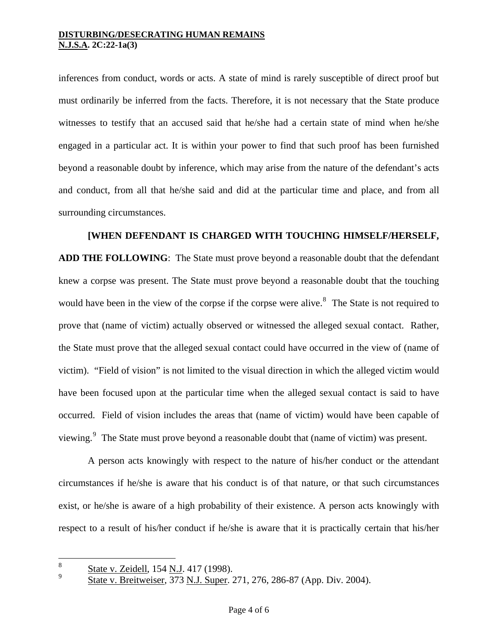inferences from conduct, words or acts. A state of mind is rarely susceptible of direct proof but must ordinarily be inferred from the facts. Therefore, it is not necessary that the State produce witnesses to testify that an accused said that he/she had a certain state of mind when he/she engaged in a particular act. It is within your power to find that such proof has been furnished beyond a reasonable doubt by inference, which may arise from the nature of the defendant's acts and conduct, from all that he/she said and did at the particular time and place, and from all surrounding circumstances.

## **[WHEN DEFENDANT IS CHARGED WITH TOUCHING HIMSELF/HERSELF,**

**ADD THE FOLLOWING**: The State must prove beyond a reasonable doubt that the defendant knew a corpse was present. The State must prove beyond a reasonable doubt that the touching would have been in the view of the corpse if the corpse were alive. $\delta$  The State is not required to prove that (name of victim) actually observed or witnessed the alleged sexual contact. Rather, the State must prove that the alleged sexual contact could have occurred in the view of (name of victim). "Field of vision" is not limited to the visual direction in which the alleged victim would have been focused upon at the particular time when the alleged sexual contact is said to have occurred. Field of vision includes the areas that (name of victim) would have been capable of viewing.<sup>[9](#page-3-0)</sup> The State must prove beyond a reasonable doubt that (name of victim) was present.

A person acts knowingly with respect to the nature of his/her conduct or the attendant circumstances if he/she is aware that his conduct is of that nature, or that such circumstances exist, or he/she is aware of a high probability of their existence. A person acts knowingly with respect to a result of his/her conduct if he/she is aware that it is practically certain that his/her

<span id="page-3-1"></span><span id="page-3-0"></span><sup>8</sup>  $\frac{8}{9}$  State v. Zeidell, 154 N.J. 417 (1998).

State v. Breitweiser, 373 N.J. Super. 271, 276, 286-87 (App. Div. 2004).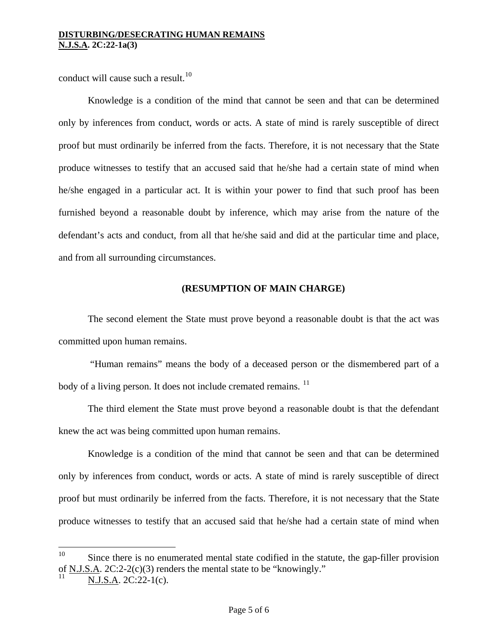conduct will cause such a result.<sup>[10](#page-3-1)</sup>

Knowledge is a condition of the mind that cannot be seen and that can be determined only by inferences from conduct, words or acts. A state of mind is rarely susceptible of direct proof but must ordinarily be inferred from the facts. Therefore, it is not necessary that the State produce witnesses to testify that an accused said that he/she had a certain state of mind when he/she engaged in a particular act. It is within your power to find that such proof has been furnished beyond a reasonable doubt by inference, which may arise from the nature of the defendant's acts and conduct, from all that he/she said and did at the particular time and place, and from all surrounding circumstances.

# **(RESUMPTION OF MAIN CHARGE)**

The second element the State must prove beyond a reasonable doubt is that the act was committed upon human remains.

 "Human remains" means the body of a deceased person or the dismembered part of a body of a living person. It does not include cremated remains.  $11$ 

The third element the State must prove beyond a reasonable doubt is that the defendant knew the act was being committed upon human remains.

Knowledge is a condition of the mind that cannot be seen and that can be determined only by inferences from conduct, words or acts. A state of mind is rarely susceptible of direct proof but must ordinarily be inferred from the facts. Therefore, it is not necessary that the State produce witnesses to testify that an accused said that he/she had a certain state of mind when

 $10<sup>10</sup>$ Since there is no enumerated mental state codified in the statute, the gap-filler provision of N.J.S.A. 2C:2-2(c)(3) renders the mental state to be "knowingly."

<span id="page-4-0"></span>N.J.S.A. 2C:22-1(c).